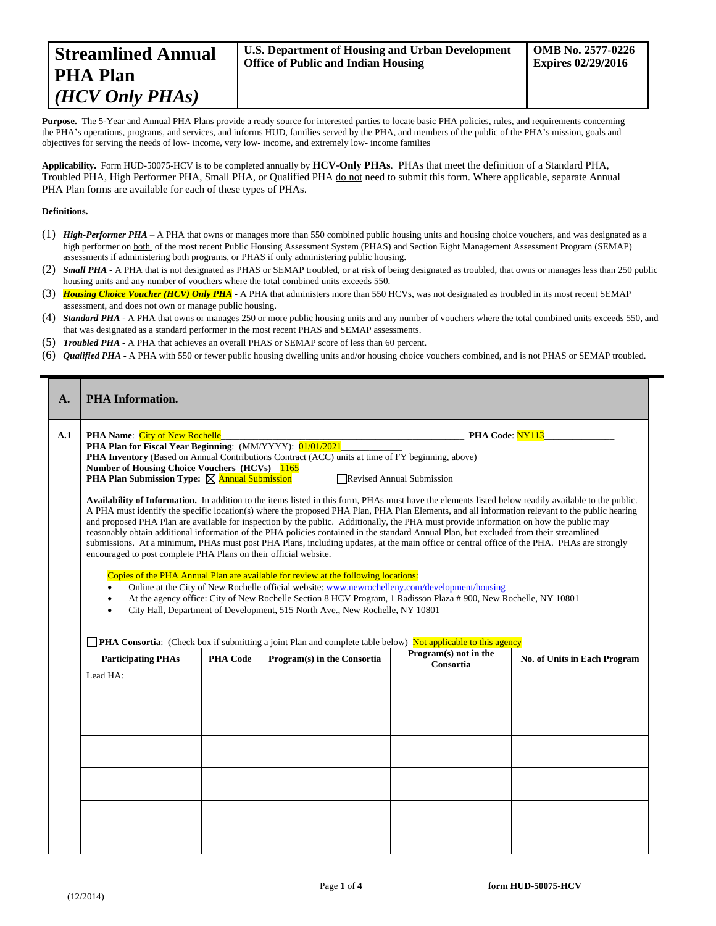Purpose. The 5-Year and Annual PHA Plans provide a ready source for interested parties to locate basic PHA policies, rules, and requirements concerning the PHA's operations, programs, and services, and informs HUD, families served by the PHA, and members of the public of the PHA's mission, goals and objectives for serving the needs of low- income, very low- income, and extremely low- income families

**Applicability.** Form HUD-50075-HCV is to be completed annually by **HCV-Only PHAs**. PHAs that meet the definition of a Standard PHA, Troubled PHA, High Performer PHA, Small PHA, or Qualified PHA do not need to submit this form. Where applicable, separate Annual PHA Plan forms are available for each of these types of PHAs.

## **Definitions.**

 $=$ 

- (1) *High-Performer PHA* A PHA that owns or manages more than 550 combined public housing units and housing choice vouchers, and was designated as a high performer on both of the most recent Public Housing Assessment System (PHAS) and Section Eight Management Assessment Program (SEMAP) assessments if administering both programs, or PHAS if only administering public housing.
- (2) *Small PHA* A PHA that is not designated as PHAS or SEMAP troubled, or at risk of being designated as troubled, that owns or manages less than 250 public housing units and any number of vouchers where the total combined units exceeds 550.
- (3) *Housing Choice Voucher (HCV) Only PHA* A PHA that administers more than 550 HCVs, was not designated as troubled in its most recent SEMAP assessment, and does not own or manage public housing.
- (4) *Standard PHA* A PHA that owns or manages 250 or more public housing units and any number of vouchers where the total combined units exceeds 550, and that was designated as a standard performer in the most recent PHAS and SEMAP assessments.
- (5) *Troubled PHA* **-** A PHA that achieves an overall PHAS or SEMAP score of less than 60 percent.
- (6) *Qualified PHA* A PHA with 550 or fewer public housing dwelling units and/or housing choice vouchers combined, and is not PHAS or SEMAP troubled.

| A.  | <b>PHA Information.</b>                                                                                                                                                                                                                                                                                                                                                                                                                                                                                                                                                                                                                                                                                                                                                                                                                                                                                                                                                                                                                                                                                                                                                                                    |                 |                                                                                                                                             |                                    |                              |
|-----|------------------------------------------------------------------------------------------------------------------------------------------------------------------------------------------------------------------------------------------------------------------------------------------------------------------------------------------------------------------------------------------------------------------------------------------------------------------------------------------------------------------------------------------------------------------------------------------------------------------------------------------------------------------------------------------------------------------------------------------------------------------------------------------------------------------------------------------------------------------------------------------------------------------------------------------------------------------------------------------------------------------------------------------------------------------------------------------------------------------------------------------------------------------------------------------------------------|-----------------|---------------------------------------------------------------------------------------------------------------------------------------------|------------------------------------|------------------------------|
| A.1 | PHA Code: NY113<br><b>PHA Name:</b> City of New Rochelle<br>PHA Plan for Fiscal Year Beginning: (MM/YYYY): 01/01/2021<br><b>PHA Inventory</b> (Based on Annual Contributions Contract (ACC) units at time of FY beginning, above)<br>Number of Housing Choice Vouchers (HCVs) 1165<br><b>PHA Plan Submission Type:</b> $\boxtimes$ <b>Annual Submission</b><br>Revised Annual Submission                                                                                                                                                                                                                                                                                                                                                                                                                                                                                                                                                                                                                                                                                                                                                                                                                   |                 |                                                                                                                                             |                                    |                              |
|     | Availability of Information. In addition to the items listed in this form, PHAs must have the elements listed below readily available to the public.<br>A PHA must identify the specific location(s) where the proposed PHA Plan, PHA Plan Elements, and all information relevant to the public hearing<br>and proposed PHA Plan are available for inspection by the public. Additionally, the PHA must provide information on how the public may<br>reasonably obtain additional information of the PHA policies contained in the standard Annual Plan, but excluded from their streamlined<br>submissions. At a minimum, PHAs must post PHA Plans, including updates, at the main office or central office of the PHA. PHAs are strongly<br>encouraged to post complete PHA Plans on their official website.<br>Copies of the PHA Annual Plan are available for review at the following locations:<br>Online at the City of New Rochelle official website: www.newrochelleny.com/development/housing<br>At the agency office: City of New Rochelle Section 8 HCV Program, 1 Radisson Plaza # 900, New Rochelle, NY 10801<br>City Hall, Department of Development, 515 North Ave., New Rochelle, NY 10801 |                 |                                                                                                                                             |                                    |                              |
|     | <b>Participating PHAs</b>                                                                                                                                                                                                                                                                                                                                                                                                                                                                                                                                                                                                                                                                                                                                                                                                                                                                                                                                                                                                                                                                                                                                                                                  | <b>PHA Code</b> | PHA Consortia: (Check box if submitting a joint Plan and complete table below) Not applicable to this agency<br>Program(s) in the Consortia | Program(s) not in the<br>Consortia | No. of Units in Each Program |
|     | Lead HA:                                                                                                                                                                                                                                                                                                                                                                                                                                                                                                                                                                                                                                                                                                                                                                                                                                                                                                                                                                                                                                                                                                                                                                                                   |                 |                                                                                                                                             |                                    |                              |
|     |                                                                                                                                                                                                                                                                                                                                                                                                                                                                                                                                                                                                                                                                                                                                                                                                                                                                                                                                                                                                                                                                                                                                                                                                            |                 |                                                                                                                                             |                                    |                              |
|     |                                                                                                                                                                                                                                                                                                                                                                                                                                                                                                                                                                                                                                                                                                                                                                                                                                                                                                                                                                                                                                                                                                                                                                                                            |                 |                                                                                                                                             |                                    |                              |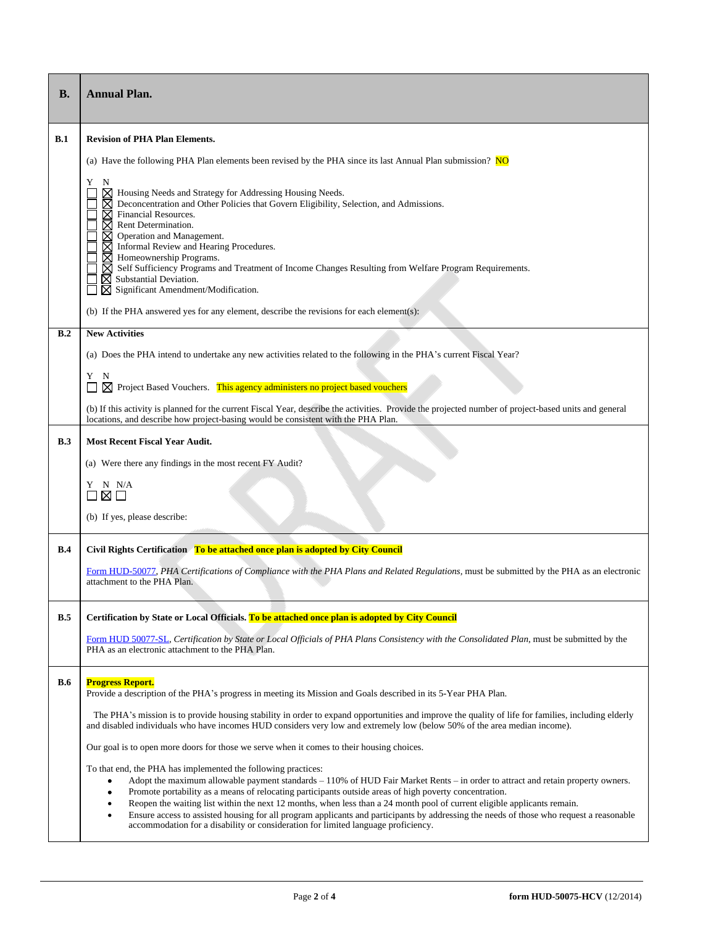| <b>B.</b>  | <b>Annual Plan.</b>                                                                                                                                                                                                                                                                                                                                                                                                                                                                                                                                                                                                                                                                                                |  |  |  |  |
|------------|--------------------------------------------------------------------------------------------------------------------------------------------------------------------------------------------------------------------------------------------------------------------------------------------------------------------------------------------------------------------------------------------------------------------------------------------------------------------------------------------------------------------------------------------------------------------------------------------------------------------------------------------------------------------------------------------------------------------|--|--|--|--|
| B.1        | <b>Revision of PHA Plan Elements.</b>                                                                                                                                                                                                                                                                                                                                                                                                                                                                                                                                                                                                                                                                              |  |  |  |  |
|            | (a) Have the following PHA Plan elements been revised by the PHA since its last Annual Plan submission? NO                                                                                                                                                                                                                                                                                                                                                                                                                                                                                                                                                                                                         |  |  |  |  |
|            | Y<br>N<br>$\boxtimes$ Housing Needs and Strategy for Addressing Housing Needs.<br>⊠ Deconcentration and Other Policies that Govern Eligibility, Selection, and Admissions.<br>$\boxtimes$ Financial Resources.<br>$\boxtimes$ Rent Determination.<br>$\overline{X}$ Operation and Management.<br>$\overline{X}$ Informal Review and Hearing Procedures.<br>$\boxtimes$ Homeownership Programs.<br>⊠ Self Sufficiency Programs and Treatment of Income Changes Resulting from Welfare Program Requirements.<br>$\boxtimes$ Substantial Deviation.<br>$\boxtimes$ Significant Amendment/Modification.                                                                                                                |  |  |  |  |
|            | (b) If the PHA answered yes for any element, describe the revisions for each element(s):                                                                                                                                                                                                                                                                                                                                                                                                                                                                                                                                                                                                                           |  |  |  |  |
| B.2        | <b>New Activities</b>                                                                                                                                                                                                                                                                                                                                                                                                                                                                                                                                                                                                                                                                                              |  |  |  |  |
|            | (a) Does the PHA intend to undertake any new activities related to the following in the PHA's current Fiscal Year?                                                                                                                                                                                                                                                                                                                                                                                                                                                                                                                                                                                                 |  |  |  |  |
|            | Y<br>N<br>$\boxtimes$ Project Based Vouchers. This agency administers no project based vouchers                                                                                                                                                                                                                                                                                                                                                                                                                                                                                                                                                                                                                    |  |  |  |  |
|            | (b) If this activity is planned for the current Fiscal Year, describe the activities. Provide the projected number of project-based units and general<br>locations, and describe how project-basing would be consistent with the PHA Plan.                                                                                                                                                                                                                                                                                                                                                                                                                                                                         |  |  |  |  |
| B.3        | <b>Most Recent Fiscal Year Audit.</b>                                                                                                                                                                                                                                                                                                                                                                                                                                                                                                                                                                                                                                                                              |  |  |  |  |
|            | (a) Were there any findings in the most recent FY Audit?                                                                                                                                                                                                                                                                                                                                                                                                                                                                                                                                                                                                                                                           |  |  |  |  |
|            | Y N N/A<br>$\boxtimes$ $\square$                                                                                                                                                                                                                                                                                                                                                                                                                                                                                                                                                                                                                                                                                   |  |  |  |  |
|            | (b) If yes, please describe:                                                                                                                                                                                                                                                                                                                                                                                                                                                                                                                                                                                                                                                                                       |  |  |  |  |
| B.4        | Civil Rights Certification To be attached once plan is adopted by City Council                                                                                                                                                                                                                                                                                                                                                                                                                                                                                                                                                                                                                                     |  |  |  |  |
|            | Form HUD-50077, PHA Certifications of Compliance with the PHA Plans and Related Regulations, must be submitted by the PHA as an electronic<br>attachment to the PHA Plan.                                                                                                                                                                                                                                                                                                                                                                                                                                                                                                                                          |  |  |  |  |
| B.5        | Certification by State or Local Officials. To be attached once plan is adopted by City Council                                                                                                                                                                                                                                                                                                                                                                                                                                                                                                                                                                                                                     |  |  |  |  |
|            | Form HUD 50077-SL, Certification by State or Local Officials of PHA Plans Consistency with the Consolidated Plan, must be submitted by the<br>PHA as an electronic attachment to the PHA Plan.                                                                                                                                                                                                                                                                                                                                                                                                                                                                                                                     |  |  |  |  |
| <b>B.6</b> | <b>Progress Report.</b><br>Provide a description of the PHA's progress in meeting its Mission and Goals described in its 5-Year PHA Plan.                                                                                                                                                                                                                                                                                                                                                                                                                                                                                                                                                                          |  |  |  |  |
|            | The PHA's mission is to provide housing stability in order to expand opportunities and improve the quality of life for families, including elderly<br>and disabled individuals who have incomes HUD considers very low and extremely low (below 50% of the area median income).                                                                                                                                                                                                                                                                                                                                                                                                                                    |  |  |  |  |
|            | Our goal is to open more doors for those we serve when it comes to their housing choices.                                                                                                                                                                                                                                                                                                                                                                                                                                                                                                                                                                                                                          |  |  |  |  |
|            | To that end, the PHA has implemented the following practices:<br>Adopt the maximum allowable payment standards - 110% of HUD Fair Market Rents - in order to attract and retain property owners.<br>٠<br>Promote portability as a means of relocating participants outside areas of high poverty concentration.<br>$\bullet$<br>Reopen the waiting list within the next 12 months, when less than a 24 month pool of current eligible applicants remain.<br>$\bullet$<br>Ensure access to assisted housing for all program applicants and participants by addressing the needs of those who request a reasonable<br>$\bullet$<br>accommodation for a disability or consideration for limited language proficiency. |  |  |  |  |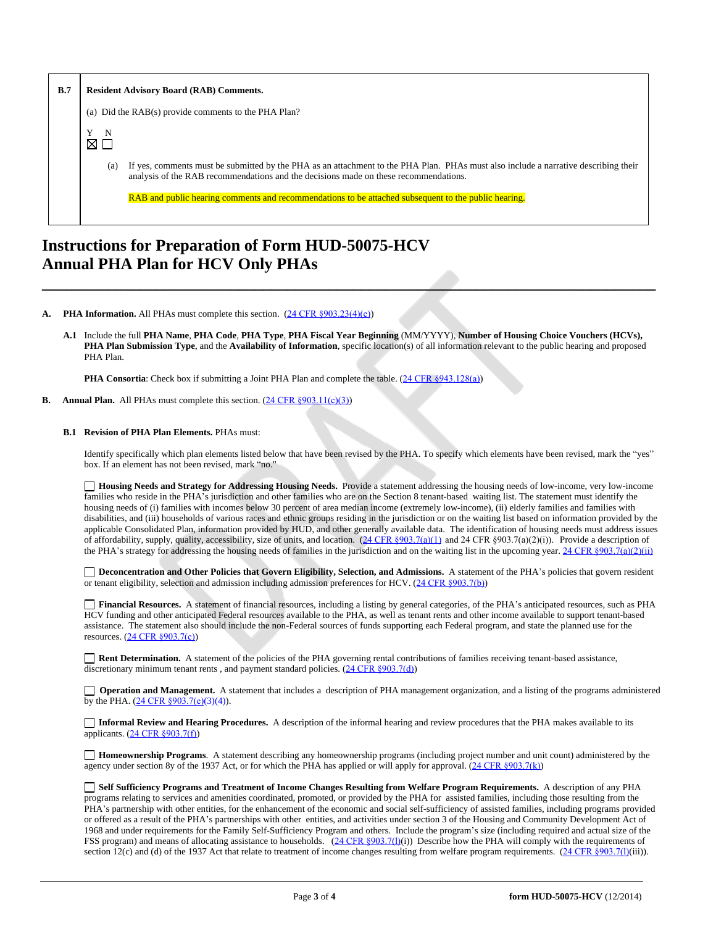| B.7 | <b>Resident Advisory Board (RAB) Comments.</b>                                                                                                                                                                                                                                                                                             |  |  |
|-----|--------------------------------------------------------------------------------------------------------------------------------------------------------------------------------------------------------------------------------------------------------------------------------------------------------------------------------------------|--|--|
|     | (a) Did the RAB(s) provide comments to the PHA Plan?                                                                                                                                                                                                                                                                                       |  |  |
|     | N<br>$\boxtimes$ $\Box$                                                                                                                                                                                                                                                                                                                    |  |  |
|     | If yes, comments must be submitted by the PHA as an attachment to the PHA Plan. PHAs must also include a narrative describing their<br>(a)<br>analysis of the RAB recommendations and the decisions made on these recommendations.<br>RAB and public hearing comments and recommendations to be attached subsequent to the public hearing. |  |  |

## **Instructions for Preparation of Form HUD-50075-HCV Annual PHA Plan for HCV Only PHAs**

**PHA Information.** All PHAs must complete this section. ([24 CFR §903.23\(4\)\(e\)](http://ecfr.gpoaccess.gov/cgi/t/text/text-idx?c=ecfr&sid=13734845220744370804c20da2294a03&rgn=div5&view=text&node=24:4.0.3.1.3&idno=24#24:4.0.3.1.3.2.5.14)[\)](http://ecfr.gpoaccess.gov/cgi/t/text/text-idx?c=ecfr&sid=13734845220744370804c20da2294a03&rgn=div5&view=text&node=24:4.0.3.1.3&idno=24#24:4.0.3.1.3.2.5.14)

**[A.1](http://ecfr.gpoaccess.gov/cgi/t/text/text-idx?c=ecfr&sid=13734845220744370804c20da2294a03&rgn=div5&view=text&node=24:4.0.3.1.3&idno=24#24:4.0.3.1.3.2.5.14)** [Include the full](http://ecfr.gpoaccess.gov/cgi/t/text/text-idx?c=ecfr&sid=13734845220744370804c20da2294a03&rgn=div5&view=text&node=24:4.0.3.1.3&idno=24#24:4.0.3.1.3.2.5.14) **[PHA Name](http://ecfr.gpoaccess.gov/cgi/t/text/text-idx?c=ecfr&sid=13734845220744370804c20da2294a03&rgn=div5&view=text&node=24:4.0.3.1.3&idno=24#24:4.0.3.1.3.2.5.14)**[,](http://ecfr.gpoaccess.gov/cgi/t/text/text-idx?c=ecfr&sid=13734845220744370804c20da2294a03&rgn=div5&view=text&node=24:4.0.3.1.3&idno=24#24:4.0.3.1.3.2.5.14) **[PHA Code](http://ecfr.gpoaccess.gov/cgi/t/text/text-idx?c=ecfr&sid=13734845220744370804c20da2294a03&rgn=div5&view=text&node=24:4.0.3.1.3&idno=24#24:4.0.3.1.3.2.5.14)**[,](http://ecfr.gpoaccess.gov/cgi/t/text/text-idx?c=ecfr&sid=13734845220744370804c20da2294a03&rgn=div5&view=text&node=24:4.0.3.1.3&idno=24#24:4.0.3.1.3.2.5.14) **[PHA Type](http://ecfr.gpoaccess.gov/cgi/t/text/text-idx?c=ecfr&sid=13734845220744370804c20da2294a03&rgn=div5&view=text&node=24:4.0.3.1.3&idno=24#24:4.0.3.1.3.2.5.14)**[,](http://ecfr.gpoaccess.gov/cgi/t/text/text-idx?c=ecfr&sid=13734845220744370804c20da2294a03&rgn=div5&view=text&node=24:4.0.3.1.3&idno=24#24:4.0.3.1.3.2.5.14) **[PHA Fiscal Year Beginning](http://ecfr.gpoaccess.gov/cgi/t/text/text-idx?c=ecfr&sid=13734845220744370804c20da2294a03&rgn=div5&view=text&node=24:4.0.3.1.3&idno=24#24:4.0.3.1.3.2.5.14)** [\(MM/YYYY\),](http://ecfr.gpoaccess.gov/cgi/t/text/text-idx?c=ecfr&sid=13734845220744370804c20da2294a03&rgn=div5&view=text&node=24:4.0.3.1.3&idno=24#24:4.0.3.1.3.2.5.14) **[Number of Housing Choice Vouchers \(HCVs\),](http://ecfr.gpoaccess.gov/cgi/t/text/text-idx?c=ecfr&sid=13734845220744370804c20da2294a03&rgn=div5&view=text&node=24:4.0.3.1.3&idno=24#24:4.0.3.1.3.2.5.14)  [PHA Plan Submission Type](http://ecfr.gpoaccess.gov/cgi/t/text/text-idx?c=ecfr&sid=13734845220744370804c20da2294a03&rgn=div5&view=text&node=24:4.0.3.1.3&idno=24#24:4.0.3.1.3.2.5.14)**[, and the](http://ecfr.gpoaccess.gov/cgi/t/text/text-idx?c=ecfr&sid=13734845220744370804c20da2294a03&rgn=div5&view=text&node=24:4.0.3.1.3&idno=24#24:4.0.3.1.3.2.5.14) **[Availability of Information](http://ecfr.gpoaccess.gov/cgi/t/text/text-idx?c=ecfr&sid=13734845220744370804c20da2294a03&rgn=div5&view=text&node=24:4.0.3.1.3&idno=24#24:4.0.3.1.3.2.5.14)**[, specific location\(s\) of all information relevant to the public hearing and proposed](http://ecfr.gpoaccess.gov/cgi/t/text/text-idx?c=ecfr&sid=13734845220744370804c20da2294a03&rgn=div5&view=text&node=24:4.0.3.1.3&idno=24#24:4.0.3.1.3.2.5.14)  [PHA Plan.](http://ecfr.gpoaccess.gov/cgi/t/text/text-idx?c=ecfr&sid=13734845220744370804c20da2294a03&rgn=div5&view=text&node=24:4.0.3.1.3&idno=24#24:4.0.3.1.3.2.5.14)

**\_\_\_\_\_\_\_\_\_\_\_\_\_\_\_\_\_\_\_\_\_\_\_\_\_\_\_\_\_\_\_\_\_\_\_\_\_\_\_\_\_\_\_\_\_\_\_\_\_\_\_\_\_\_\_\_\_\_\_\_\_\_\_\_\_\_\_\_\_\_\_\_\_\_\_**

**[PHA Consortia](http://ecfr.gpoaccess.gov/cgi/t/text/text-idx?c=ecfr&sid=13734845220744370804c20da2294a03&rgn=div5&view=text&node=24:4.0.3.1.3&idno=24#24:4.0.3.1.3.2.5.14)**[: Check box if submitting a Joint PHA Plan and complete the table.](http://ecfr.gpoaccess.gov/cgi/t/text/text-idx?c=ecfr&sid=13734845220744370804c20da2294a03&rgn=div5&view=text&node=24:4.0.3.1.3&idno=24#24:4.0.3.1.3.2.5.14) [\(](http://ecfr.gpoaccess.gov/cgi/t/text/text-idx?c=ecfr&sid=13734845220744370804c20da2294a03&rgn=div5&view=text&node=24:4.0.3.1.3&idno=24#24:4.0.3.1.3.2.5.14)[24 CFR §943.128\(a\)](http://ecfr.gpoaccess.gov/cgi/t/text/text-idx?c=ecfr&sid=cc31cf1c3a2b84ba4ead75d35d258f67&rgn=div5&view=text&node=24:4.0.3.1.10&idno=24#24:4.0.3.1.10.2.5.7))

**Annual Plan.** All PHAs must complete this section. ([24 CFR §903.11\(c\)\(3\)](http://ecfr.gpoaccess.gov/cgi/t/text/text-idx?c=ecfr&sid=c84b8750d7c9fcd46c0c7546aeb860cf&rgn=div5&view=text&node=24:4.0.3.1.3&idno=24#24:4.0.3.1.3.2.5.8)[\)](http://ecfr.gpoaccess.gov/cgi/t/text/text-idx?c=ecfr&sid=c84b8750d7c9fcd46c0c7546aeb860cf&rgn=div5&view=text&node=24:4.0.3.1.3&idno=24#24:4.0.3.1.3.2.5.8)

## **[B.1](http://ecfr.gpoaccess.gov/cgi/t/text/text-idx?c=ecfr&sid=c84b8750d7c9fcd46c0c7546aeb860cf&rgn=div5&view=text&node=24:4.0.3.1.3&idno=24#24:4.0.3.1.3.2.5.8) [Revision of PHA Plan Elements.](http://ecfr.gpoaccess.gov/cgi/t/text/text-idx?c=ecfr&sid=c84b8750d7c9fcd46c0c7546aeb860cf&rgn=div5&view=text&node=24:4.0.3.1.3&idno=24#24:4.0.3.1.3.2.5.8)** [PHAs must:](http://ecfr.gpoaccess.gov/cgi/t/text/text-idx?c=ecfr&sid=c84b8750d7c9fcd46c0c7546aeb860cf&rgn=div5&view=text&node=24:4.0.3.1.3&idno=24#24:4.0.3.1.3.2.5.8)

[Identify specifically which plan elements listed below that have been revised by the PHA. To specify which elements have been revised, mark the](http://ecfr.gpoaccess.gov/cgi/t/text/text-idx?c=ecfr&sid=c84b8750d7c9fcd46c0c7546aeb860cf&rgn=div5&view=text&node=24:4.0.3.1.3&idno=24#24:4.0.3.1.3.2.5.8) "yes" [box. If an element has not been revised, mark](http://ecfr.gpoaccess.gov/cgi/t/text/text-idx?c=ecfr&sid=c84b8750d7c9fcd46c0c7546aeb860cf&rgn=div5&view=text&node=24:4.0.3.1.3&idno=24#24:4.0.3.1.3.2.5.8) "no."

**[Housing Needs and Strategy for Addressing Housing Needs.](http://ecfr.gpoaccess.gov/cgi/t/text/text-idx?c=ecfr&sid=c84b8750d7c9fcd46c0c7546aeb860cf&rgn=div5&view=text&node=24:4.0.3.1.3&idno=24#24:4.0.3.1.3.2.5.8)** [Provide a statement addressing the housing needs of low-income, very low-income](http://ecfr.gpoaccess.gov/cgi/t/text/text-idx?c=ecfr&sid=c84b8750d7c9fcd46c0c7546aeb860cf&rgn=div5&view=text&node=24:4.0.3.1.3&idno=24#24:4.0.3.1.3.2.5.8)  families who reside in the PHA's jurisdiction and other families who are on the Section 8 tenant-based waiting list. The statement must identify the [housing needs of \(i\) families with incomes below 30 percent of area median income \(extremely low-income\), \(ii\) elderly families and families with](http://ecfr.gpoaccess.gov/cgi/t/text/text-idx?c=ecfr&sid=c84b8750d7c9fcd46c0c7546aeb860cf&rgn=div5&view=text&node=24:4.0.3.1.3&idno=24#24:4.0.3.1.3.2.5.8)  [disabilities, and \(iii\) households of various races and ethnic groups residing in the jurisdiction or on the waiting list based on information provided by the](http://ecfr.gpoaccess.gov/cgi/t/text/text-idx?c=ecfr&sid=c84b8750d7c9fcd46c0c7546aeb860cf&rgn=div5&view=text&node=24:4.0.3.1.3&idno=24#24:4.0.3.1.3.2.5.8)  [applicable Consolidated Plan, information provided by HUD, and other generally available data. The identification of housing needs must address issues](http://ecfr.gpoaccess.gov/cgi/t/text/text-idx?c=ecfr&sid=c84b8750d7c9fcd46c0c7546aeb860cf&rgn=div5&view=text&node=24:4.0.3.1.3&idno=24#24:4.0.3.1.3.2.5.8)  of affordability, supply, quality, accessibility, size of units, and location[.](http://ecfr.gpoaccess.gov/cgi/t/text/text-idx?c=ecfr&sid=13734845220744370804c20da2294a03&rgn=div5&view=text&node=24:4.0.3.1.3&idno=24#24:4.0.3.1.3.2.5.5)  $(24 \text{ CFR } \text{$903.7(a)(1)}$  and 24 CFR  $\text{$903.7(a)(2)(i)}$ . Provide a description of the PHA'[s strategy for addressing the housing needs of families in the jurisdiction and on the waiting list in the upcoming year.](http://ecfr.gpoaccess.gov/cgi/t/text/text-idx?c=ecfr&sid=13734845220744370804c20da2294a03&rgn=div5&view=text&node=24:4.0.3.1.3&idno=24#24:4.0.3.1.3.2.5.5) [24 CFR §903.7\(a\)\(2\)\(ii\)](http://ecfr.gpoaccess.gov/cgi/t/text/text-idx?c=ecfr&sid=13734845220744370804c20da2294a03&rgn=div5&view=text&node=24:4.0.3.1.3&idno=24#24:4.0.3.1.3.2.5.5)

□[Deconcentration and Other Policies that Govern Eligibility, Selection, and Admissions.](http://ecfr.gpoaccess.gov/cgi/t/text/text-idx?c=ecfr&sid=13734845220744370804c20da2294a03&rgn=div5&view=text&node=24:4.0.3.1.3&idno=24#24:4.0.3.1.3.2.5.5) [A statement of](http://ecfr.gpoaccess.gov/cgi/t/text/text-idx?c=ecfr&sid=13734845220744370804c20da2294a03&rgn=div5&view=text&node=24:4.0.3.1.3&idno=24#24:4.0.3.1.3.2.5.5) the PHA's policies that govern resident [or tenant eligibility, selection and admission including admission preferences for HCV. \(](http://ecfr.gpoaccess.gov/cgi/t/text/text-idx?c=ecfr&sid=13734845220744370804c20da2294a03&rgn=div5&view=text&node=24:4.0.3.1.3&idno=24#24:4.0.3.1.3.2.5.5)[24 CFR §903.7\(b\)](http://ecfr.gpoaccess.gov/cgi/t/text/text-idx?c=ecfr&sid=b44bf19bef93dd31287608d2c687e271&rgn=div5&view=text&node=24:4.0.3.1.3&idno=24#24:4.0.3.1.3.2.5.5))

 **Financial Resources.** A statement of financial resources, including a listing by general categories, of the PHA's anticipated resources, such as PHA HCV funding and other anticipated Federal resources available to the PHA, as well as tenant rents and other income available to support tenant-based assistance. The statement also should include the non-Federal sources of funds supporting each Federal program, and state the planned use for the resources. ([24 CFR §903.7\(c\)](http://ecfr.gpoaccess.gov/cgi/t/text/text-idx?c=ecfr&sid=b44bf19bef93dd31287608d2c687e271&rgn=div5&view=text&node=24:4.0.3.1.3&idno=24))

**Rent Determination.** A statement of the policies of the PHA governing rental contributions of families receiving tenant-based assistance, discretionary minimum tenant rents, and payment standard policies. ([24 CFR §903.7\(d\)](http://ecfr.gpoaccess.gov/cgi/t/text/text-idx?c=ecfr&sid=b44bf19bef93dd31287608d2c687e271&rgn=div5&view=text&node=24:4.0.3.1.3&idno=24#24:4.0.3.1.3.2.5.5))

**Operation and Management.** A statement that includes a description of PHA management organization, and a listing of the programs administered by the PHA.  $(24 \text{ CFR } \frac{6903.7(e)}{3})(4)$ .

**[Informal Review and Hearing Procedures.](http://ecfr.gpoaccess.gov/cgi/t/text/text-idx?c=ecfr&sid=b44bf19bef93dd31287608d2c687e271&rgn=div5&view=text&node=24:4.0.3.1.3&idno=24#24:4.0.3.1.3.2.5.5)** [A description of the informal hearing and review procedures that the PHA makes available to its](http://ecfr.gpoaccess.gov/cgi/t/text/text-idx?c=ecfr&sid=b44bf19bef93dd31287608d2c687e271&rgn=div5&view=text&node=24:4.0.3.1.3&idno=24#24:4.0.3.1.3.2.5.5)  [applicants.](http://ecfr.gpoaccess.gov/cgi/t/text/text-idx?c=ecfr&sid=b44bf19bef93dd31287608d2c687e271&rgn=div5&view=text&node=24:4.0.3.1.3&idno=24#24:4.0.3.1.3.2.5.5) [\(](http://ecfr.gpoaccess.gov/cgi/t/text/text-idx?c=ecfr&sid=b44bf19bef93dd31287608d2c687e271&rgn=div5&view=text&node=24:4.0.3.1.3&idno=24#24:4.0.3.1.3.2.5.5)[24 CFR §903.7\(f\)](http://ecfr.gpoaccess.gov/cgi/t/text/text-idx?c=ecfr&sid=b44bf19bef93dd31287608d2c687e271&rgn=div5&view=text&node=24:4.0.3.1.3&idno=24#24:4.0.3.1.3.2.5.5))

 **Homeownership Programs**. A statement describing any homeownership programs (including project number and unit count) administered by the agency under section 8y of the 1937 Act, or for which the PHA has applied or will apply for approval. ([24 CFR §903.7\(k\)](http://ecfr.gpoaccess.gov/cgi/t/text/text-idx?c=ecfr&sid=b44bf19bef93dd31287608d2c687e271&rgn=div5&view=text&node=24:4.0.3.1.3&idno=24#24:4.0.3.1.3.2.5.5))

 **Self Sufficiency Programs and Treatment of Income Changes Resulting from Welfare Program Requirements.** A description of any PHA programs relating to services and amenities coordinated, promoted, or provided by the PHA for assisted families, including those resulting from the PHA's partnership with other entities, for the enhancement of the economic and social self-sufficiency of assisted families, including programs provided or offered as a result of the PHA's partnerships with other entities, and activities under section 3 of the Housing and Community Development Act of 1968 and under requirements for the Family Self-Sufficiency Program and others. Include the program's size (including required and actual size of the FSS program) and means of allocating assistance to households. ([24 CFR §903.7\(l\)](http://ecfr.gpoaccess.gov/cgi/t/text/text-idx?c=ecfr&sid=b44bf19bef93dd31287608d2c687e271&rgn=div5&view=text&node=24:4.0.3.1.3&idno=24#24:4.0.3.1.3.2.5.5)(i)) Describe how the PHA will comply with the requirements of section 12(c) and (d) of the 1937 Act that relate to treatment of income changes resulting from welfare program requirements.  $(24 \text{ CFR } \text{8903.7(I)}$ [\(iii\)\).](http://ecfr.gpoaccess.gov/cgi/t/text/text-idx?c=ecfr&sid=13734845220744370804c20da2294a03&rgn=div5&view=text&node=24:4.0.3.1.3&idno=24#24:4.0.3.1.3.2.5.5)